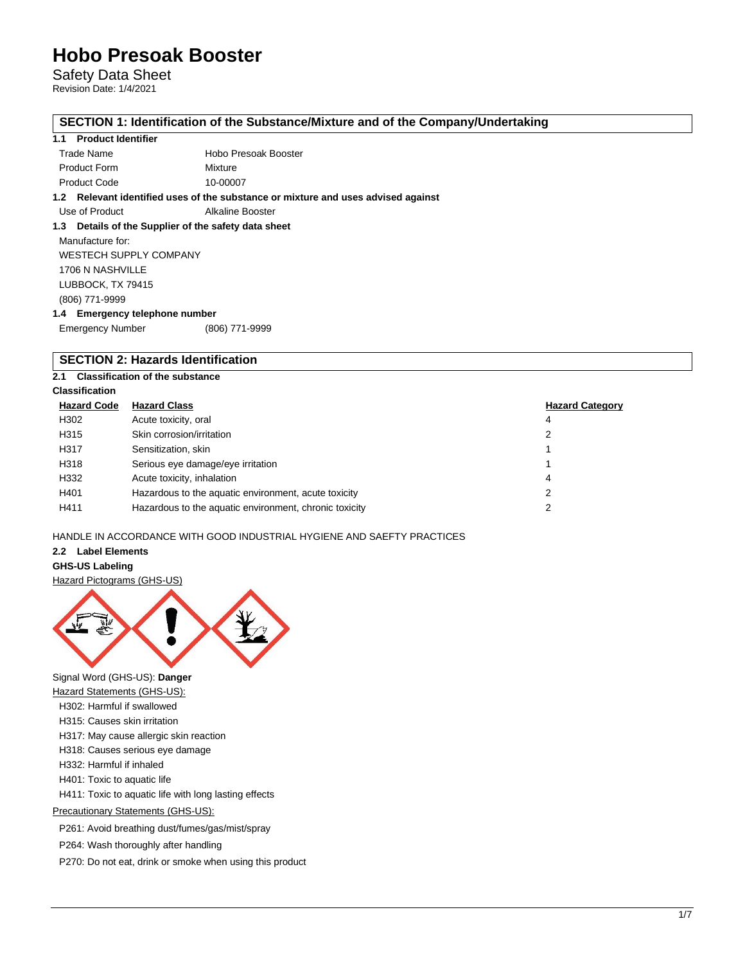Safety Data Sheet Revision Date: 1/4/2021

# **SECTION 1: Identification of the Substance/Mixture and of the Company/Undertaking**

## **1.1 Product Identifier**

|                     | معمران ممارياتهم وممرر الروزم ووزيانيا ويستمرح ومماريها والرائي وممرر الروائلا وبالأوسط المستردام الشاريات |
|---------------------|------------------------------------------------------------------------------------------------------------|
| <b>Product Code</b> | 10-00007                                                                                                   |
| <b>Product Form</b> | Mixture                                                                                                    |
| Trade Name          | Hobo Presoak Booster                                                                                       |

**1.2 Relevant identified uses of the substance or mixture and uses advised against**

Use of Product **Alkaline Booster** 

# **1.3 Details of the Supplier of the safety data sheet**

Manufacture for: WESTECH SUPPLY COMPANY 1706 N NASHVILLE LUBBOCK, TX 79415 (806) 771-9999 **1.4 Emergency telephone number**

Emergency Number (806) 771-9999

## **SECTION 2: Hazards Identification**

### **2.1 Classification of the substance**

## **Classification**

| <b>Hazard Code</b> | <b>Hazard Class</b>                                    | <b>Hazard Category</b> |
|--------------------|--------------------------------------------------------|------------------------|
| H302               | Acute toxicity, oral                                   | 4                      |
| H315               | Skin corrosion/irritation                              | 2                      |
| H317               | Sensitization, skin                                    |                        |
| H318               | Serious eye damage/eye irritation                      |                        |
| H332               | Acute toxicity, inhalation                             | 4                      |
| H401               | Hazardous to the aquatic environment, acute toxicity   |                        |
| H411               | Hazardous to the aquatic environment, chronic toxicity |                        |

### HANDLE IN ACCORDANCE WITH GOOD INDUSTRIAL HYGIENE AND SAEFTY PRACTICES

### **2.2 Label Elements**

#### **GHS-US Labeling**

Hazard Pictograms (GHS-US)



Signal Word (GHS-US): **Danger**

- Hazard Statements (GHS-US):
- H302: Harmful if swallowed
- H315: Causes skin irritation
- H317: May cause allergic skin reaction
- H318: Causes serious eye damage
- H332: Harmful if inhaled
- H401: Toxic to aquatic life

H411: Toxic to aquatic life with long lasting effects

# Precautionary Statements (GHS-US):

P261: Avoid breathing dust/fumes/gas/mist/spray

P264: Wash thoroughly after handling

P270: Do not eat, drink or smoke when using this product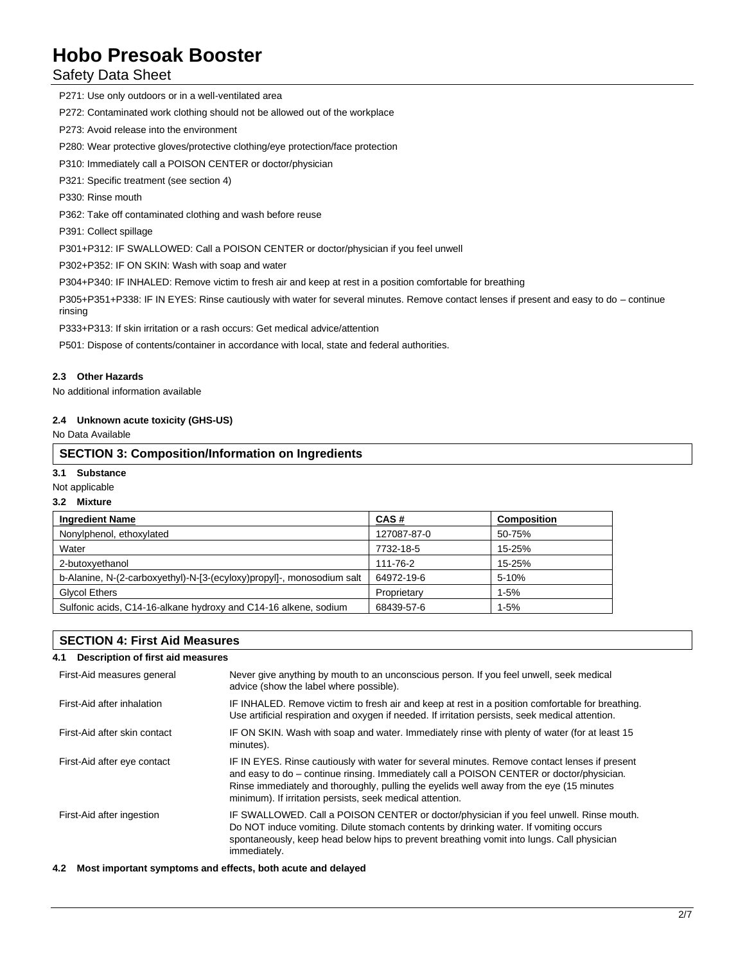# Safety Data Sheet

P271: Use only outdoors or in a well-ventilated area

P272: Contaminated work clothing should not be allowed out of the workplace

P273: Avoid release into the environment

P280: Wear protective gloves/protective clothing/eye protection/face protection

P310: Immediately call a POISON CENTER or doctor/physician

P321: Specific treatment (see section 4)

P330: Rinse mouth

P362: Take off contaminated clothing and wash before reuse

P391: Collect spillage

P301+P312: IF SWALLOWED: Call a POISON CENTER or doctor/physician if you feel unwell

P302+P352: IF ON SKIN: Wash with soap and water

P304+P340: IF INHALED: Remove victim to fresh air and keep at rest in a position comfortable for breathing

P305+P351+P338: IF IN EYES: Rinse cautiously with water for several minutes. Remove contact lenses if present and easy to do – continue rinsing

P333+P313: If skin irritation or a rash occurs: Get medical advice/attention

P501: Dispose of contents/container in accordance with local, state and federal authorities.

### **2.3 Other Hazards**

No additional information available

### **2.4 Unknown acute toxicity (GHS-US)**

No Data Available

### **SECTION 3: Composition/Information on Ingredients**

### **3.1 Substance**

Not applicable

### **3.2 Mixture**

| <b>Ingredient Name</b>                                                | CAS#        | <b>Composition</b> |
|-----------------------------------------------------------------------|-------------|--------------------|
| Nonylphenol, ethoxylated                                              | 127087-87-0 | 50-75%             |
| Water                                                                 | 7732-18-5   | 15-25%             |
| 2-butoxvethanol                                                       | 111-76-2    | 15-25%             |
| b-Alanine, N-(2-carboxyethyl)-N-[3-(ecyloxy)propyl]-, monosodium salt | 64972-19-6  | 5-10%              |
| <b>Glycol Ethers</b>                                                  | Proprietary | $1 - 5%$           |
| Sulfonic acids, C14-16-alkane hydroxy and C14-16 alkene, sodium       | 68439-57-6  | $1-5%$             |

# **SECTION 4: First Aid Measures**

| Description of first aid measures                                                                                                                                                                                                                                                                                                                  |
|----------------------------------------------------------------------------------------------------------------------------------------------------------------------------------------------------------------------------------------------------------------------------------------------------------------------------------------------------|
| Never give anything by mouth to an unconscious person. If you feel unwell, seek medical<br>advice (show the label where possible).                                                                                                                                                                                                                 |
| IF INHALED. Remove victim to fresh air and keep at rest in a position comfortable for breathing.<br>Use artificial respiration and oxygen if needed. If irritation persists, seek medical attention.                                                                                                                                               |
| IF ON SKIN. Wash with soap and water. Immediately rinse with plenty of water (for at least 15<br>minutes).                                                                                                                                                                                                                                         |
| IF IN EYES. Rinse cautiously with water for several minutes. Remove contact lenses if present<br>and easy to do – continue rinsing. Immediately call a POISON CENTER or doctor/physician.<br>Rinse immediately and thoroughly, pulling the eyelids well away from the eye (15 minutes<br>minimum). If irritation persists, seek medical attention. |
| IF SWALLOWED. Call a POISON CENTER or doctor/physician if you feel unwell. Rinse mouth.<br>Do NOT induce vomiting. Dilute stomach contents by drinking water. If vomiting occurs<br>spontaneously, keep head below hips to prevent breathing vomit into lungs. Call physician<br>immediately.                                                      |
|                                                                                                                                                                                                                                                                                                                                                    |

**4.2 Most important symptoms and effects, both acute and delayed**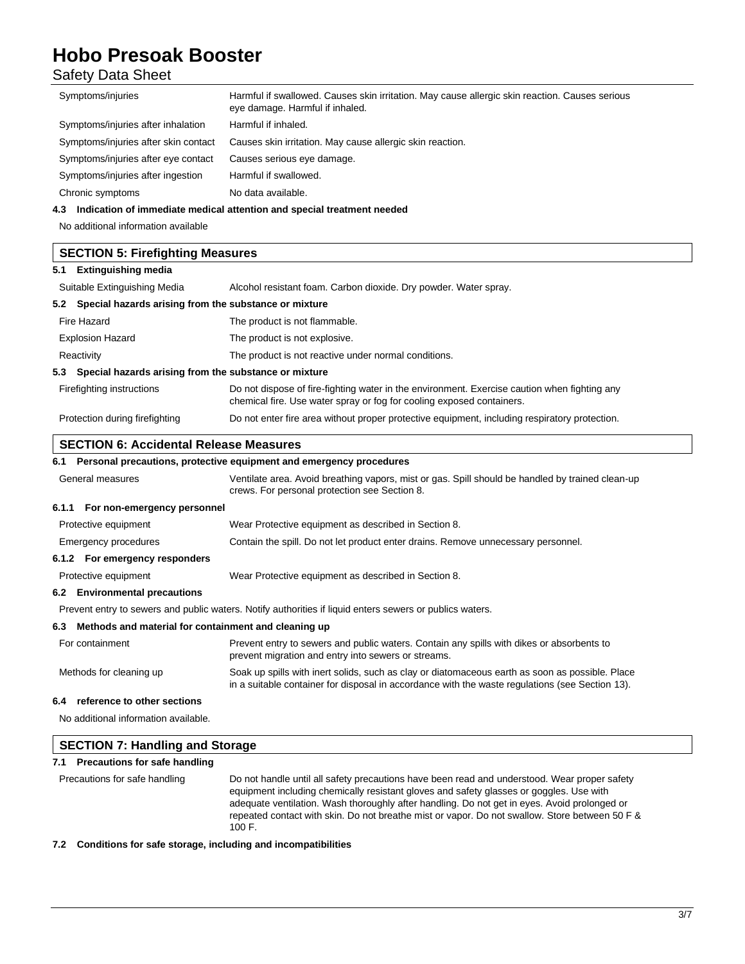Safety Data Sheet

| Symptoms/injuries                                            | Harmful if swallowed. Causes skin irritation. May cause allergic skin reaction. Causes serious<br>eye damage. Harmful if inhaled.                                                                  |
|--------------------------------------------------------------|----------------------------------------------------------------------------------------------------------------------------------------------------------------------------------------------------|
| Symptoms/injuries after inhalation                           | Harmful if inhaled.                                                                                                                                                                                |
| Symptoms/injuries after skin contact                         | Causes skin irritation. May cause allergic skin reaction.                                                                                                                                          |
| Symptoms/injuries after eye contact                          | Causes serious eye damage.                                                                                                                                                                         |
| Symptoms/injuries after ingestion                            | Harmful if swallowed.                                                                                                                                                                              |
| Chronic symptoms                                             | No data available.                                                                                                                                                                                 |
|                                                              | 4.3 Indication of immediate medical attention and special treatment needed                                                                                                                         |
| No additional information available                          |                                                                                                                                                                                                    |
| <b>SECTION 5: Firefighting Measures</b>                      |                                                                                                                                                                                                    |
| 5.1 Extinguishing media                                      |                                                                                                                                                                                                    |
| Suitable Extinguishing Media                                 | Alcohol resistant foam. Carbon dioxide. Dry powder. Water spray.                                                                                                                                   |
| 5.2 Special hazards arising from the substance or mixture    |                                                                                                                                                                                                    |
| Fire Hazard                                                  | The product is not flammable.                                                                                                                                                                      |
| <b>Explosion Hazard</b>                                      | The product is not explosive.                                                                                                                                                                      |
| Reactivity                                                   | The product is not reactive under normal conditions.                                                                                                                                               |
| Special hazards arising from the substance or mixture<br>5.3 |                                                                                                                                                                                                    |
| Firefighting instructions                                    | Do not dispose of fire-fighting water in the environment. Exercise caution when fighting any<br>chemical fire. Use water spray or fog for cooling exposed containers.                              |
| Protection during firefighting                               | Do not enter fire area without proper protective equipment, including respiratory protection.                                                                                                      |
| <b>SECTION 6: Accidental Release Measures</b>                |                                                                                                                                                                                                    |
|                                                              | 6.1 Personal precautions, protective equipment and emergency procedures                                                                                                                            |
| General measures                                             | Ventilate area. Avoid breathing vapors, mist or gas. Spill should be handled by trained clean-up<br>crews. For personal protection see Section 8.                                                  |
| 6.1.1 For non-emergency personnel                            |                                                                                                                                                                                                    |
| Protective equipment                                         | Wear Protective equipment as described in Section 8.                                                                                                                                               |
| Emergency procedures                                         | Contain the spill. Do not let product enter drains. Remove unnecessary personnel.                                                                                                                  |
| 6.1.2 For emergency responders                               |                                                                                                                                                                                                    |
| Protective equipment                                         | Wear Protective equipment as described in Section 8.                                                                                                                                               |
| 6.2 Environmental precautions                                |                                                                                                                                                                                                    |
|                                                              | Prevent entry to sewers and public waters. Notify authorities if liquid enters sewers or publics waters.                                                                                           |
| 6.3 Methods and material for containment and cleaning up     |                                                                                                                                                                                                    |
| For containment                                              | Prevent entry to sewers and public waters. Contain any spills with dikes or absorbents to<br>prevent migration and entry into sewers or streams.                                                   |
| Methods for cleaning up                                      | Soak up spills with inert solids, such as clay or diatomaceous earth as soon as possible. Place<br>in a suitable container for disposal in accordance with the waste regulations (see Section 13). |
| reference to other sections<br>6.4                           |                                                                                                                                                                                                    |
| No additional information available.                         |                                                                                                                                                                                                    |
| <b>SECTION 7: Handling and Storage</b>                       |                                                                                                                                                                                                    |
| 7.1 Precautions for safe handling                            |                                                                                                                                                                                                    |
|                                                              |                                                                                                                                                                                                    |

**7.2 Conditions for safe storage, including and incompatibilities**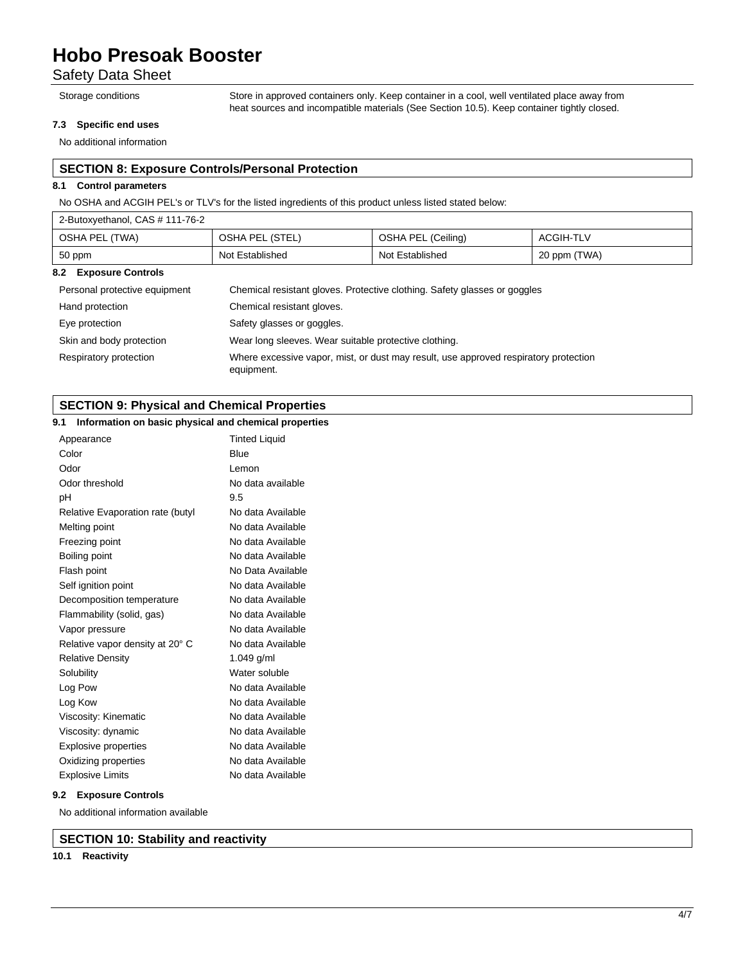# Safety Data Sheet

Storage conditions Store in approved containers only. Keep container in a cool, well ventilated place away from heat sources and incompatible materials (See Section 10.5). Keep container tightly closed.

### **7.3 Specific end uses**

No additional information

# **SECTION 8: Exposure Controls/Personal Protection**

### **8.1 Control parameters**

No OSHA and ACGIH PEL's or TLV's for the listed ingredients of this product unless listed stated below:

| 2-Butoxyethanol, CAS # 111-76-2                                                                            |                 |                    |              |
|------------------------------------------------------------------------------------------------------------|-----------------|--------------------|--------------|
| OSHA PEL (TWA)                                                                                             | OSHA PEL (STEL) | OSHA PEL (Ceiling) | ACGIH-TLV    |
| 50 ppm                                                                                                     | Not Established | Not Established    | 20 ppm (TWA) |
| 8.2 Exposure Controls                                                                                      |                 |                    |              |
| Chemical resistant gloves. Protective clothing. Safety glasses or googles<br>Personal protective equipment |                 |                    |              |

| Personal protective equipment | Chemical resistant gloves. Protective clothing. Safety glasses or goggles            |
|-------------------------------|--------------------------------------------------------------------------------------|
| Hand protection               | Chemical resistant gloves.                                                           |
| Eye protection                | Safety glasses or goggles.                                                           |
| Skin and body protection      | Wear long sleeves. Wear suitable protective clothing.                                |
| Respiratory protection        | Where excessive vapor, mist, or dust may result, use approved respiratory protection |

equipment.

# **SECTION 9: Physical and Chemical Properties**

## **9.1 Information on basic physical and chemical properties**

| Appearance                       | <b>Tinted Liquid</b> |
|----------------------------------|----------------------|
| Color<br>Blue                    |                      |
| Odor                             | Lemon                |
| Odor threshold                   | No data available    |
| 9.5<br>рH                        |                      |
| Relative Evaporation rate (butyl | No data Available    |
| Melting point                    | No data Available    |
| Freezing point                   | No data Available    |
| Boiling point                    | No data Available    |
| Flash point                      | No Data Available    |
| Self ignition point              | No data Available    |
| Decomposition temperature        | No data Available    |
| Flammability (solid, gas)        | No data Available    |
| Vapor pressure                   | No data Available    |
| Relative vapor density at 20° C  | No data Available    |
| <b>Relative Density</b>          | 1.049 g/ml           |
| Solubility                       | Water soluble        |
| Log Pow                          | No data Available    |
| Log Kow                          | No data Available    |
| Viscosity: Kinematic             | No data Available    |
| Viscosity: dynamic               | No data Available    |
| <b>Explosive properties</b>      | No data Available    |
| Oxidizing properties             | No data Available    |
| <b>Explosive Limits</b>          | No data Available    |

### **9.2 Exposure Controls**

No additional information available

## **SECTION 10: Stability and reactivity**

## **10.1 Reactivity**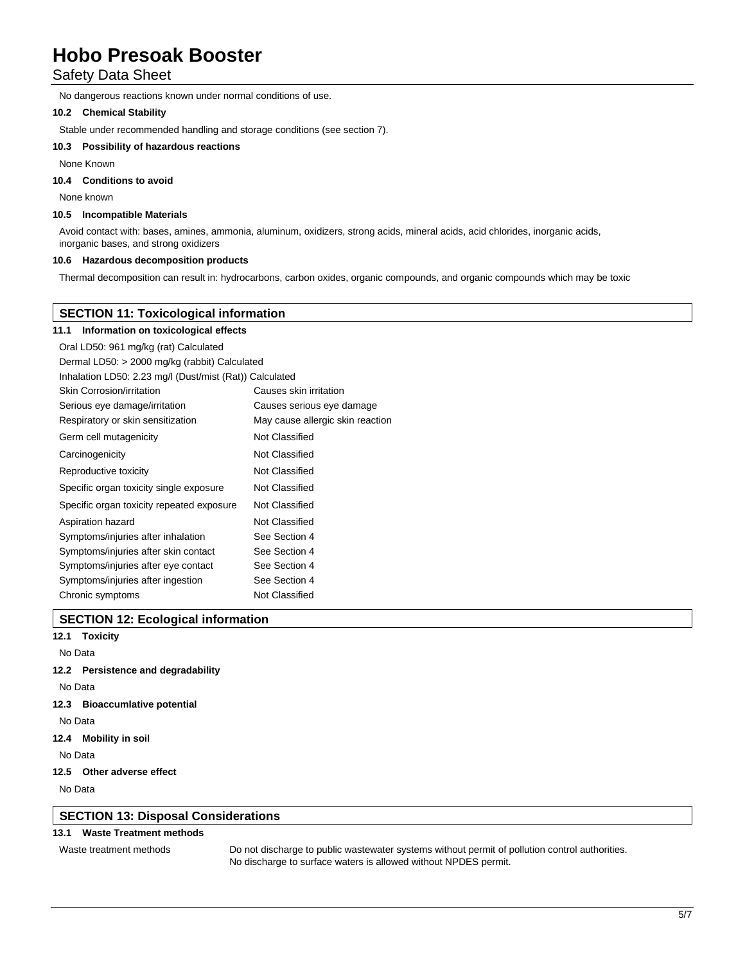# Safety Data Sheet

No dangerous reactions known under normal conditions of use.

### **10.2 Chemical Stability**

Stable under recommended handling and storage conditions (see section 7).

### **10.3 Possibility of hazardous reactions**

None Known

# **10.4 Conditions to avoid**

None known

#### **10.5 Incompatible Materials**

Avoid contact with: bases, amines, ammonia, aluminum, oxidizers, strong acids, mineral acids, acid chlorides, inorganic acids, inorganic bases, and strong oxidizers

### **10.6 Hazardous decomposition products**

Thermal decomposition can result in: hydrocarbons, carbon oxides, organic compounds, and organic compounds which may be toxic

# **SECTION 11: Toxicological information**

#### **11.1 Information on toxicological effects**

| Oral LD50: 961 mg/kg (rat) Calculated                   |                                  |  |
|---------------------------------------------------------|----------------------------------|--|
| Dermal LD50: > 2000 mg/kg (rabbit) Calculated           |                                  |  |
| Inhalation LD50: 2.23 mg/l (Dust/mist (Rat)) Calculated |                                  |  |
| Skin Corrosion/irritation                               | Causes skin irritation           |  |
| Serious eye damage/irritation                           | Causes serious eye damage        |  |
| Respiratory or skin sensitization                       | May cause allergic skin reaction |  |
| Germ cell mutagenicity                                  | Not Classified                   |  |
| Carcinogenicity                                         | Not Classified                   |  |
| Reproductive toxicity                                   | Not Classified                   |  |
| Specific organ toxicity single exposure                 | Not Classified                   |  |
| Specific organ toxicity repeated exposure               | Not Classified                   |  |
| Aspiration hazard                                       | Not Classified                   |  |
| Symptoms/injuries after inhalation                      | See Section 4                    |  |
| Symptoms/injuries after skin contact                    | See Section 4                    |  |
| Symptoms/injuries after eye contact                     | See Section 4                    |  |
| Symptoms/injuries after ingestion                       | See Section 4                    |  |
| Chronic symptoms                                        | Not Classified                   |  |

### **SECTION 12: Ecological information**

**12.1 Toxicity**

No Data

#### **12.2 Persistence and degradability**

No Data

### **12.3 Bioaccumlative potential**

No Data

**12.4 Mobility in soil**

No Data

### **12.5 Other adverse effect**

No Data

## **SECTION 13: Disposal Considerations**

### **13.1 Waste Treatment methods**

Waste treatment methods Do not discharge to public wastewater systems without permit of pollution control authorities. No discharge to surface waters is allowed without NPDES permit.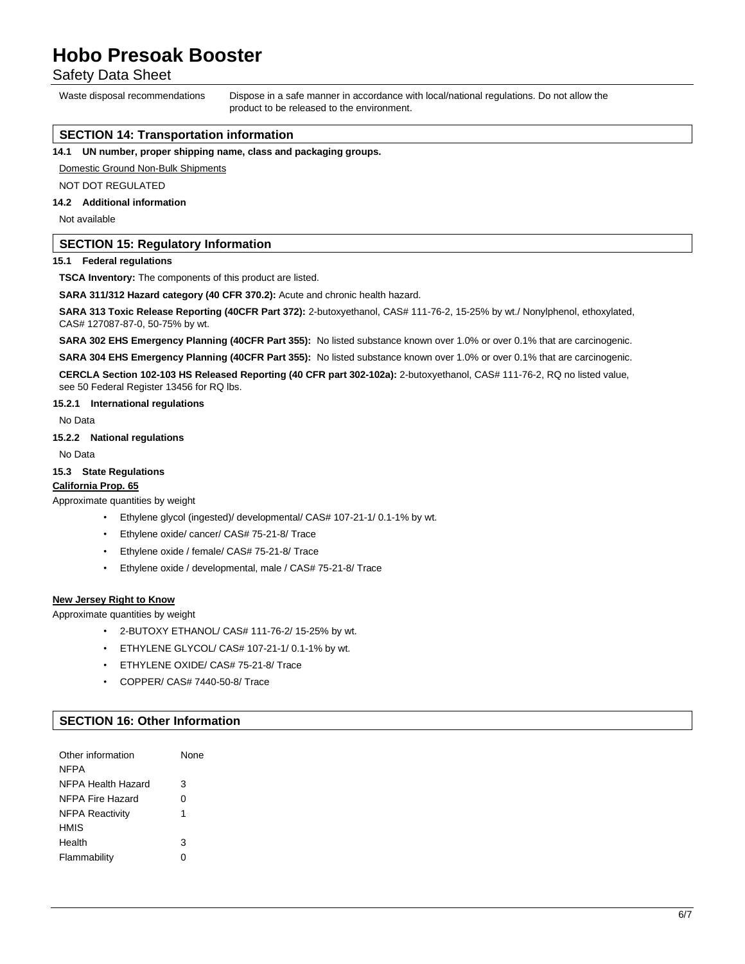Safety Data Sheet

Waste disposal recommendations Dispose in a safe manner in accordance with local/national regulations. Do not allow the product to be released to the environment.

## **SECTION 14: Transportation information**

**14.1 UN number, proper shipping name, class and packaging groups.**

Domestic Ground Non-Bulk Shipments

NOT DOT REGULATED

### **14.2 Additional information**

Not available

## **SECTION 15: Regulatory Information**

### **15.1 Federal regulations**

**TSCA Inventory:** The components of this product are listed.

**SARA 311/312 Hazard category (40 CFR 370.2):** Acute and chronic health hazard.

**SARA 313 Toxic Release Reporting (40CFR Part 372):** 2-butoxyethanol, CAS# 111-76-2, 15-25% by wt./ Nonylphenol, ethoxylated, CAS# 127087-87-0, 50-75% by wt.

**SARA 302 EHS Emergency Planning (40CFR Part 355):** No listed substance known over 1.0% or over 0.1% that are carcinogenic.

**SARA 304 EHS Emergency Planning (40CFR Part 355):** No listed substance known over 1.0% or over 0.1% that are carcinogenic. **CERCLA Section 102-103 HS Released Reporting (40 CFR part 302-102a):** 2-butoxyethanol, CAS# 111-76-2, RQ no listed value, see 50 Federal Register 13456 for RQ lbs.

#### **15.2.1 International regulations**

No Data

**15.2.2 National regulations**

No Data

#### **15.3 State Regulations**

## **California Prop. 65**

Approximate quantities by weight

- Ethylene glycol (ingested)/ developmental/ CAS# 107-21-1/ 0.1-1% by wt.
- Ethylene oxide/ cancer/ CAS# 75-21-8/ Trace
- Ethylene oxide / female/ CAS# 75-21-8/ Trace
- Ethylene oxide / developmental, male / CAS# 75-21-8/ Trace

#### **New Jersey Right to Know**

Approximate quantities by weight

- 2-BUTOXY ETHANOL/ CAS# 111-76-2/ 15-25% by wt.
- ETHYLENE GLYCOL/ CAS# 107-21-1/ 0.1-1% by wt.
- ETHYLENE OXIDE/ CAS# 75-21-8/ Trace
- COPPER/ CAS# 7440-50-8/ Trace

# **SECTION 16: Other Information**

| Other information      | None |
|------------------------|------|
| <b>NFPA</b>            |      |
| NFPA Health Hazard     | 3    |
| NFPA Fire Hazard       | 0    |
| <b>NFPA Reactivity</b> | 1    |
| <b>HMIS</b>            |      |
| Health                 | 3    |
| Flammability           | n    |